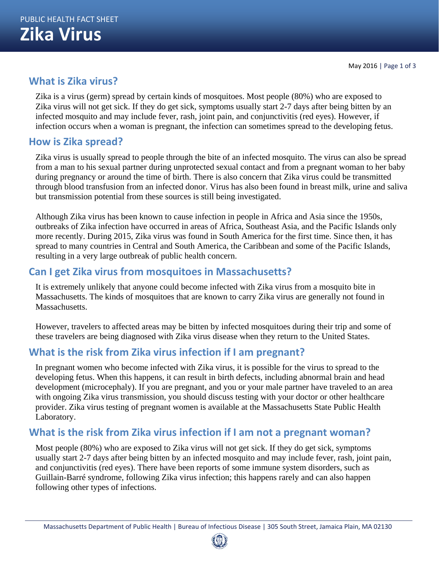## **What is Zika virus?**

Zika is a virus (germ) spread by certain kinds of mosquitoes. Most people (80%) who are exposed to Zika virus will not get sick. If they do get sick, symptoms usually start 2-7 days after being bitten by an infected mosquito and may include fever, rash, joint pain, and conjunctivitis (red eyes). However, if infection occurs when a woman is pregnant, the infection can sometimes spread to the developing fetus.

## **How is Zika spread?**

Zika virus is usually spread to people through the bite of an infected mosquito. The virus can also be spread from a man to his sexual partner during unprotected sexual contact and from a pregnant woman to her baby during pregnancy or around the time of birth. There is also concern that Zika virus could be transmitted through blood transfusion from an infected donor. Virus has also been found in breast milk, urine and saliva but transmission potential from these sources is still being investigated.

Although Zika virus has been known to cause infection in people in Africa and Asia since the 1950s, outbreaks of Zika infection have occurred in areas of Africa, Southeast Asia, and the Pacific Islands only more recently. During 2015, Zika virus was found in South America for the first time. Since then, it has spread to many countries in Central and South America, the Caribbean and some of the Pacific Islands, resulting in a very large outbreak of public health concern.

## **Can I get Zika virus from mosquitoes in Massachusetts?**

It is extremely unlikely that anyone could become infected with Zika virus from a mosquito bite in Massachusetts. The kinds of mosquitoes that are known to carry Zika virus are generally not found in Massachusetts.

However, travelers to affected areas may be bitten by infected mosquitoes during their trip and some of these travelers are being diagnosed with Zika virus disease when they return to the United States.

## **What is the risk from Zika virus infection if I am pregnant?**

In pregnant women who become infected with Zika virus, it is possible for the virus to spread to the developing fetus. When this happens, it can result in birth defects, including abnormal brain and head development (microcephaly). If you are pregnant, and you or your male partner have traveled to an area with ongoing Zika virus transmission, you should discuss testing with your doctor or other healthcare provider. Zika virus testing of pregnant women is available at the Massachusetts State Public Health Laboratory.

# **What is the risk from Zika virus infection if I am not a pregnant woman?**

Most people (80%) who are exposed to Zika virus will not get sick. If they do get sick, symptoms usually start 2-7 days after being bitten by an infected mosquito and may include fever, rash, joint pain, and conjunctivitis (red eyes). There have been reports of some immune system disorders, such as Guillain-Barré syndrome, following Zika virus infection; this happens rarely and can also happen following other types of infections.

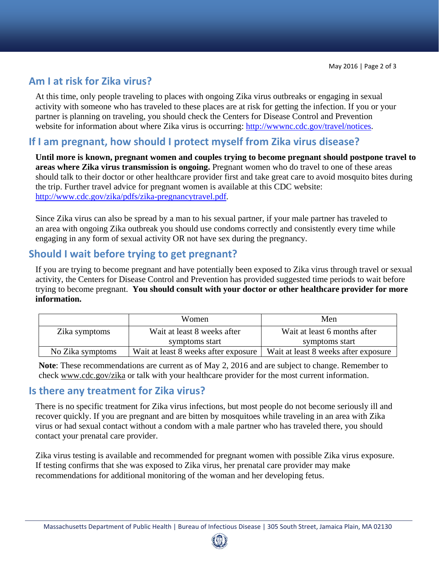## **Am I at risk for Zika virus?**

At this time, only people traveling to places with ongoing Zika virus outbreaks or engaging in sexual activity with someone who has traveled to these places are at risk for getting the infection. If you or your partner is planning on traveling, you should check the Centers for Disease Control and Prevention website for information about where Zika virus is occurring: http://wwwnc.cdc.gov/travel/notices.

#### **If I am pregnant, how should I protect myself from Zika virus disease?**

**Until more is known, pregnant women and couples trying to become pregnant should postpone travel to areas where Zika virus transmission is ongoing.** Pregnant women who do travel to one of these areas should talk to their doctor or other healthcare provider first and take great care to avoid mosquito bites during the trip. Further travel advice for pregnant women is available at this CDC website: http://www.cdc.gov/zika/pdfs/zika-pregnancytravel.pdf.

Since Zika virus can also be spread by a man to his sexual partner, if your male partner has traveled to an area with ongoing Zika outbreak you should use condoms correctly and consistently every time while engaging in any form of sexual activity OR not have sex during the pregnancy.

### **Should I wait before trying to get pregnant?**

If you are trying to become pregnant and have potentially been exposed to Zika virus through travel or sexual activity, the Centers for Disease Control and Prevention has provided suggested time periods to wait before trying to become pregnant. **You should consult with your doctor or other healthcare provider for more information.**

|                  | Women                                | Men                                  |
|------------------|--------------------------------------|--------------------------------------|
| Zika symptoms    | Wait at least 8 weeks after          | Wait at least 6 months after         |
|                  | symptoms start                       | symptoms start                       |
| No Zika symptoms | Wait at least 8 weeks after exposure | Wait at least 8 weeks after exposure |

**Note**: These recommendations are current as of May 2, 2016 and are subject to change. Remember to check www.cdc.gov/zika or talk with your healthcare provider for the most current information.

#### **Is there any treatment for Zika virus?**

There is no specific treatment for Zika virus infections, but most people do not become seriously ill and recover quickly. If you are pregnant and are bitten by mosquitoes while traveling in an area with Zika virus or had sexual contact without a condom with a male partner who has traveled there, you should contact your prenatal care provider.

Zika virus testing is available and recommended for pregnant women with possible Zika virus exposure. If testing confirms that she was exposed to Zika virus, her prenatal care provider may make recommendations for additional monitoring of the woman and her developing fetus.